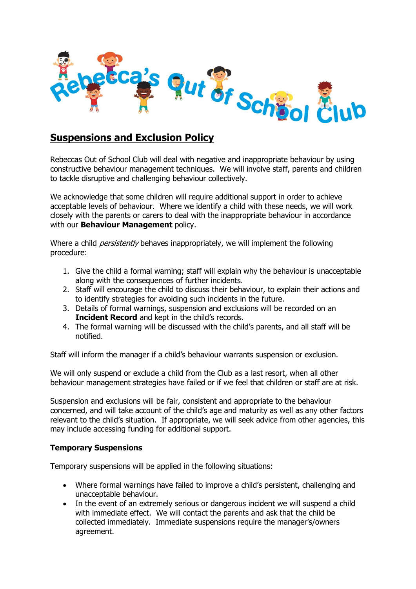

## **Suspensions and Exclusion Policy**

Rebeccas Out of School Club will deal with negative and inappropriate behaviour by using constructive behaviour management techniques. We will involve staff, parents and children to tackle disruptive and challenging behaviour collectively.

We acknowledge that some children will require additional support in order to achieve acceptable levels of behaviour. Where we identify a child with these needs, we will work closely with the parents or carers to deal with the inappropriate behaviour in accordance with our **Behaviour Management** policy.

Where a child *persistently* behaves inappropriately, we will implement the following procedure:

- 1. Give the child a formal warning; staff will explain why the behaviour is unacceptable along with the consequences of further incidents.
- 2. Staff will encourage the child to discuss their behaviour, to explain their actions and to identify strategies for avoiding such incidents in the future.
- 3. Details of formal warnings, suspension and exclusions will be recorded on an **Incident Record** and kept in the child's records.
- 4. The formal warning will be discussed with the child's parents, and all staff will be notified.

Staff will inform the manager if a child's behaviour warrants suspension or exclusion.

We will only suspend or exclude a child from the Club as a last resort, when all other behaviour management strategies have failed or if we feel that children or staff are at risk.

Suspension and exclusions will be fair, consistent and appropriate to the behaviour concerned, and will take account of the child's age and maturity as well as any other factors relevant to the child's situation. If appropriate, we will seek advice from other agencies, this may include accessing funding for additional support.

## **Temporary Suspensions**

Temporary suspensions will be applied in the following situations:

- Where formal warnings have failed to improve a child's persistent, challenging and unacceptable behaviour.
- In the event of an extremely serious or dangerous incident we will suspend a child with immediate effect. We will contact the parents and ask that the child be collected immediately. Immediate suspensions require the manager's/owners agreement.